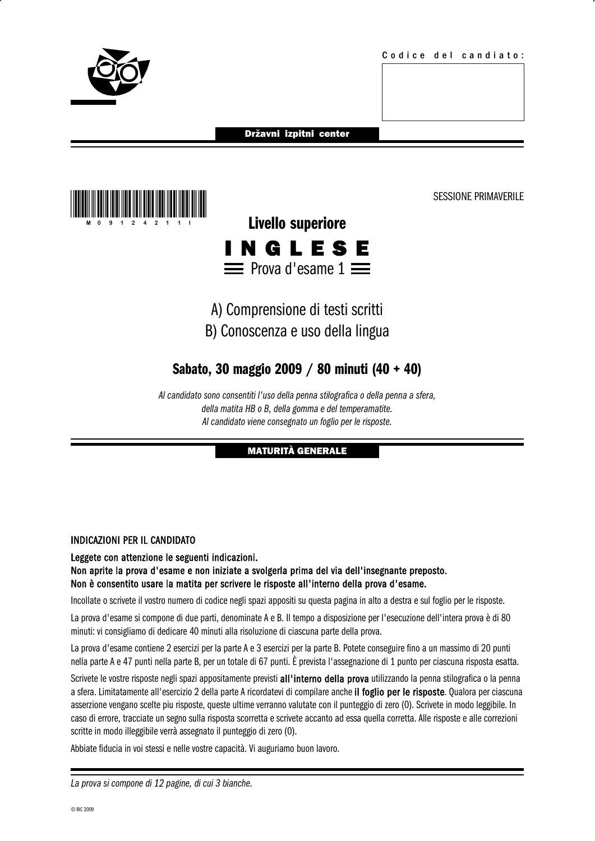

Codice del candiato:

## Državni izpitni center



SESSIONE PRIMAVERILE



A) Comprensione di testi scritti B) Conoscenza e uso della lingua

## Sabato, 30 maggio 2009 / 80 minuti (40 + 40)

*Al candidato sono consentiti l'uso della penna stilografica o della penna a sfera, della matita HB o B, della gomma e del temperamatite. Al candidato viene consegnato un foglio per le risposte.*

## MATURITÀ GENERALE

### INDICAZIONI PER IL CANDIDATO

Leggete con attenzione le seguenti indicazioni. Non aprite la prova d'esame e non iniziate a svolgerla prima del via dell'insegnante preposto. Non è consentito usare la matita per scrivere le risposte all'interno della prova d'esame.

Incollate o scrivete il vostro numero di codice negli spazi appositi su questa pagina in alto a destra e sul foglio per le risposte.

La prova d'esame si compone di due parti, denominate A e B. Il tempo a disposizione per l'esecuzione dell'intera prova è di 80 minuti: vi consigliamo di dedicare 40 minuti alla risoluzione di ciascuna parte della prova.

La prova d'esame contiene 2 esercizi per la parte A e 3 esercizi per la parte B. Potete conseguire fino a un massimo di 20 punti nella parte A e 47 punti nella parte B, per un totale di 67 punti. È prevista l'assegnazione di 1 punto per ciascuna risposta esatta.

Scrivete le vostre risposte negli spazi appositamente previsti all'interno della prova utilizzando la penna stilografica o la penna a sfera. Limitatamente all'esercizio 2 della parte A ricordatevi di compilare anche il foglio per le risposte. Qualora per ciascuna asserzione vengano scelte piu risposte, queste ultime verranno valutate con il punteggio di zero (0). Scrivete in modo leggibile. In caso di errore, tracciate un segno sulla risposta scorretta e scrivete accanto ad essa quella corretta. Alle risposte e alle correzioni scritte in modo illeggibile verrà assegnato il punteggio di zero (0).

Abbiate fiducia in voi stessi e nelle vostre capacità. Vi auguriamo buon lavoro.

*La prova si compone di 12 pagine, di cui 3 bianche.*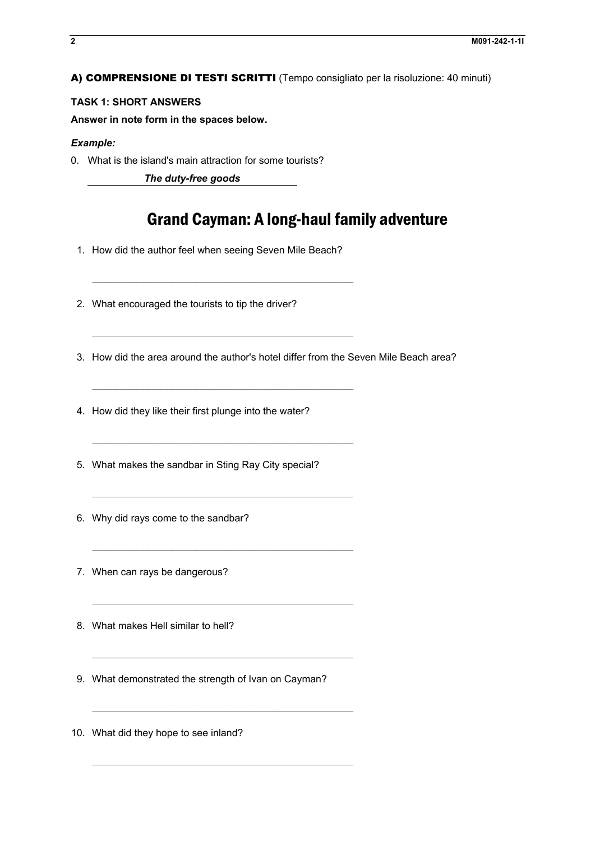## A) COMPRENSIONE DI TESTI SCRITTI (Tempo consigliato per la risoluzione: 40 minuti)

### **TASK 1: SHORT ANSWERS**

**Answer in note form in the spaces below.** 

### *Example:*

0. What is the island's main attraction for some tourists?

*The duty-free goods* 

## Grand Cayman: A long-haul family adventure

1. How did the author feel when seeing Seven Mile Beach?

 $\mathcal{L}=\mathcal{L}=\mathcal{L}=\mathcal{L}=\mathcal{L}=\mathcal{L}=\mathcal{L}=\mathcal{L}=\mathcal{L}=\mathcal{L}=\mathcal{L}=\mathcal{L}=\mathcal{L}=\mathcal{L}=\mathcal{L}=\mathcal{L}=\mathcal{L}=\mathcal{L}=\mathcal{L}=\mathcal{L}=\mathcal{L}=\mathcal{L}=\mathcal{L}=\mathcal{L}=\mathcal{L}=\mathcal{L}=\mathcal{L}=\mathcal{L}=\mathcal{L}=\mathcal{L}=\mathcal{L}=\mathcal{L}=\mathcal{L}=\mathcal{L}=\mathcal{L}=\mathcal{L}=\mathcal{$ 

 $\mathcal{L}_\mathcal{L} = \mathcal{L}_\mathcal{L} - \mathcal{L}_\mathcal{L}$  , where  $\mathcal{L}_\mathcal{L} = \mathcal{L}_\mathcal{L}$  , where  $\mathcal{L}_\mathcal{L} = \mathcal{L}_\mathcal{L}$ 

 $\mathcal{L}_\mathcal{L} = \mathcal{L}_\mathcal{L} - \mathcal{L}_\mathcal{L}$  , where  $\mathcal{L}_\mathcal{L} = \mathcal{L}_\mathcal{L}$  , where  $\mathcal{L}_\mathcal{L} = \mathcal{L}_\mathcal{L}$ 

 $\mathcal{L}_\text{max}$ 

 $\mathcal{L}=\mathcal{L}=\mathcal{L}=\mathcal{L}=\mathcal{L}=\mathcal{L}=\mathcal{L}=\mathcal{L}=\mathcal{L}=\mathcal{L}=\mathcal{L}=\mathcal{L}=\mathcal{L}=\mathcal{L}=\mathcal{L}=\mathcal{L}=\mathcal{L}=\mathcal{L}=\mathcal{L}=\mathcal{L}=\mathcal{L}=\mathcal{L}=\mathcal{L}=\mathcal{L}=\mathcal{L}=\mathcal{L}=\mathcal{L}=\mathcal{L}=\mathcal{L}=\mathcal{L}=\mathcal{L}=\mathcal{L}=\mathcal{L}=\mathcal{L}=\mathcal{L}=\mathcal{L}=\mathcal{$ 

 $\mathcal{L}_\mathcal{L} = \mathcal{L}_\mathcal{L} - \mathcal{L}_\mathcal{L}$  , where  $\mathcal{L}_\mathcal{L} = \mathcal{L}_\mathcal{L}$  , where  $\mathcal{L}_\mathcal{L} = \mathcal{L}_\mathcal{L}$ 

 $\mathcal{L}_\mathcal{L} = \mathcal{L}_\mathcal{L} - \mathcal{L}_\mathcal{L}$  , where  $\mathcal{L}_\mathcal{L} = \mathcal{L}_\mathcal{L}$  , where  $\mathcal{L}_\mathcal{L} = \mathcal{L}_\mathcal{L}$ 

 $\mathcal{L}_\text{max}$ 

 $\mathcal{L}=\mathcal{L}=\mathcal{L}=\mathcal{L}=\mathcal{L}=\mathcal{L}=\mathcal{L}=\mathcal{L}=\mathcal{L}=\mathcal{L}=\mathcal{L}=\mathcal{L}=\mathcal{L}=\mathcal{L}=\mathcal{L}=\mathcal{L}=\mathcal{L}=\mathcal{L}=\mathcal{L}=\mathcal{L}=\mathcal{L}=\mathcal{L}=\mathcal{L}=\mathcal{L}=\mathcal{L}=\mathcal{L}=\mathcal{L}=\mathcal{L}=\mathcal{L}=\mathcal{L}=\mathcal{L}=\mathcal{L}=\mathcal{L}=\mathcal{L}=\mathcal{L}=\mathcal{L}=\mathcal{$ 

\_\_\_\_\_\_\_\_\_\_\_\_\_\_\_\_\_\_\_\_\_\_\_\_\_\_\_\_\_\_\_\_\_\_\_\_\_\_\_\_\_\_\_\_\_\_\_\_\_\_\_\_\_\_\_\_\_\_\_\_\_\_\_\_\_

- 2. What encouraged the tourists to tip the driver?
- 3. How did the area around the author's hotel differ from the Seven Mile Beach area?
- 4. How did they like their first plunge into the water?
- 5. What makes the sandbar in Sting Ray City special?
- 6. Why did rays come to the sandbar?
- 7. When can rays be dangerous?
- 8. What makes Hell similar to hell?
- 9. What demonstrated the strength of Ivan on Cayman?
- 10. What did they hope to see inland?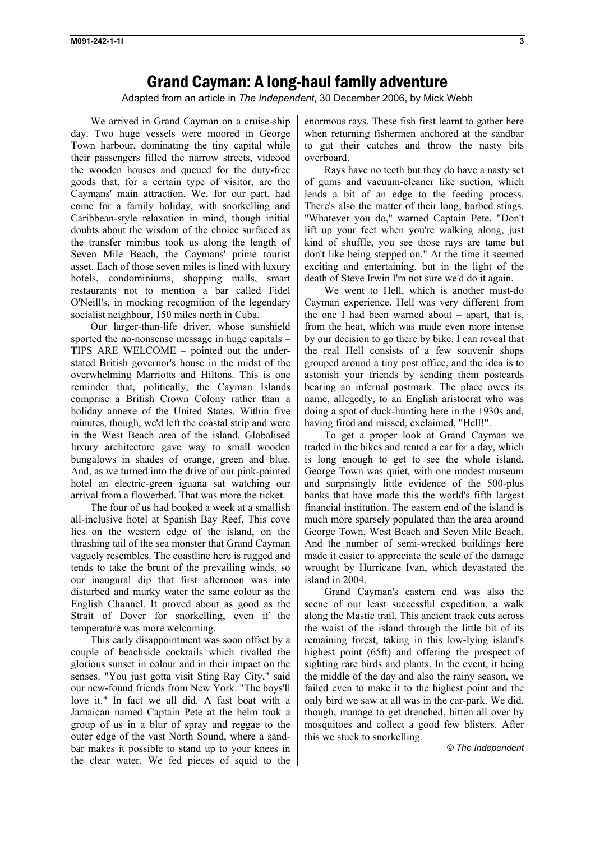## Grand Cayman: A long-haul family adventure

Adapted from an article in *The Independent*, 30 December 2006, by Mick Webb

We arrived in Grand Cayman on a cruise-ship day. Two huge vessels were moored in George Town harbour, dominating the tiny capital while their passengers filled the narrow streets, videoed the wooden houses and queued for the duty-free goods that, for a certain type of visitor, are the Caymans' main attraction. We, for our part, had come for a family holiday, with snorkelling and Caribbean-style relaxation in mind, though initial doubts about the wisdom of the choice surfaced as the transfer minibus took us along the length of Seven Mile Beach, the Caymans' prime tourist asset. Each of those seven miles is lined with luxury hotels, condominiums, shopping malls, smart restaurants not to mention a bar called Fidel O'Neill's, in mocking recognition of the legendary socialist neighbour, 150 miles north in Cuba.

Our larger-than-life driver, whose sunshield sported the no-nonsense message in huge capitals – TIPS ARE WELCOME – pointed out the understated British governor's house in the midst of the overwhelming Marriotts and Hiltons. This is one reminder that, politically, the Cayman Islands comprise a British Crown Colony rather than a holiday annexe of the United States. Within five minutes, though, we'd left the coastal strip and were in the West Beach area of the island. Globalised luxury architecture gave way to small wooden bungalows in shades of orange, green and blue. And, as we turned into the drive of our pink-painted hotel an electric-green iguana sat watching our arrival from a flowerbed. That was more the ticket.

The four of us had booked a week at a smallish all-inclusive hotel at Spanish Bay Reef. This cove lies on the western edge of the island, on the thrashing tail of the sea monster that Grand Cayman vaguely resembles. The coastline here is rugged and tends to take the brunt of the prevailing winds, so our inaugural dip that first afternoon was into disturbed and murky water the same colour as the English Channel. It proved about as good as the Strait of Dover for snorkelling, even if the temperature was more welcoming.

This early disappointment was soon offset by a couple of beachside cocktails which rivalled the glorious sunset in colour and in their impact on the senses. "You just gotta visit Sting Ray City," said our new-found friends from New York. "The boys'll love it." In fact we all did. A fast boat with a Jamaican named Captain Pete at the helm took a group of us in a blur of spray and reggae to the outer edge of the vast North Sound, where a sandbar makes it possible to stand up to your knees in the clear water. We fed pieces of squid to the

enormous rays. These fish first learnt to gather here when returning fishermen anchored at the sandbar to gut their catches and throw the nasty bits overboard.

Rays have no teeth but they do have a nasty set of gums and vacuum-cleaner like suction, which lends a bit of an edge to the feeding process. There's also the matter of their long, barbed stings. "Whatever you do," warned Captain Pete, "Don't lift up your feet when you're walking along, just kind of shuffle, you see those rays are tame but don't like being stepped on." At the time it seemed exciting and entertaining, but in the light of the death of Steve Irwin I'm not sure we'd do it again.

We went to Hell, which is another must-do Cayman experience. Hell was very different from the one I had been warned about – apart, that is, from the heat, which was made even more intense by our decision to go there by bike. I can reveal that the real Hell consists of a few souvenir shops grouped around a tiny post office, and the idea is to astonish your friends by sending them postcards bearing an infernal postmark. The place owes its name, allegedly, to an English aristocrat who was doing a spot of duck-hunting here in the 1930s and, having fired and missed, exclaimed, "Hell!".

To get a proper look at Grand Cayman we traded in the bikes and rented a car for a day, which is long enough to get to see the whole island. George Town was quiet, with one modest museum and surprisingly little evidence of the 500-plus banks that have made this the world's fifth largest financial institution. The eastern end of the island is much more sparsely populated than the area around George Town, West Beach and Seven Mile Beach. And the number of semi-wrecked buildings here made it easier to appreciate the scale of the damage wrought by Hurricane Ivan, which devastated the island in 2004.

Grand Cayman's eastern end was also the scene of our least successful expedition, a walk along the Mastic trail. This ancient track cuts across the waist of the island through the little bit of its remaining forest, taking in this low-lying island's highest point (65ft) and offering the prospect of sighting rare birds and plants. In the event, it being the middle of the day and also the rainy season, we failed even to make it to the highest point and the only bird we saw at all was in the car-park. We did, though, manage to get drenched, bitten all over by mosquitoes and collect a good few blisters. After this we stuck to snorkelling.

*© The Independent*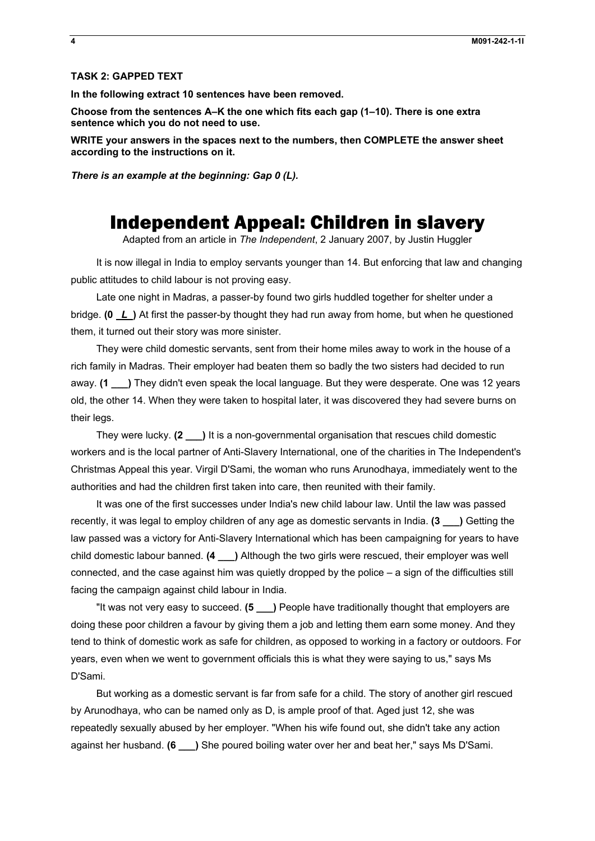#### **TASK 2: GAPPED TEXT**

**In the following extract 10 sentences have been removed.** 

**Choose from the sentences A–K the one which fits each gap (1–10). There is one extra sentence which you do not need to use.**

**WRITE your answers in the spaces next to the numbers, then COMPLETE the answer sheet according to the instructions on it.**

*There is an example at the beginning: Gap 0 (L).*

## Independent Appeal: Children in slavery

Adapted from an article in *The Independent*, 2 January 2007, by Justin Huggler

It is now illegal in India to employ servants younger than 14. But enforcing that law and changing public attitudes to child labour is not proving easy.

Late one night in Madras, a passer-by found two girls huddled together for shelter under a bridge. **(0** *L* **)** At first the passer-by thought they had run away from home, but when he questioned them, it turned out their story was more sinister.

They were child domestic servants, sent from their home miles away to work in the house of a rich family in Madras. Their employer had beaten them so badly the two sisters had decided to run away. **(1 \_\_\_)** They didn't even speak the local language. But they were desperate. One was 12 years old, the other 14. When they were taken to hospital later, it was discovered they had severe burns on their legs.

They were lucky. **(2 \_\_\_)** It is a non-governmental organisation that rescues child domestic workers and is the local partner of Anti-Slavery International, one of the charities in The Independent's Christmas Appeal this year. Virgil D'Sami, the woman who runs Arunodhaya, immediately went to the authorities and had the children first taken into care, then reunited with their family.

It was one of the first successes under India's new child labour law. Until the law was passed recently, it was legal to employ children of any age as domestic servants in India. **(3 \_\_\_)** Getting the law passed was a victory for Anti-Slavery International which has been campaigning for years to have child domestic labour banned. **(4 \_\_\_)** Although the two girls were rescued, their employer was well connected, and the case against him was quietly dropped by the police – a sign of the difficulties still facing the campaign against child labour in India.

"It was not very easy to succeed. **(5 \_\_\_)** People have traditionally thought that employers are doing these poor children a favour by giving them a job and letting them earn some money. And they tend to think of domestic work as safe for children, as opposed to working in a factory or outdoors. For years, even when we went to government officials this is what they were saying to us," says Ms D'Sami.

But working as a domestic servant is far from safe for a child. The story of another girl rescued by Arunodhaya, who can be named only as D, is ample proof of that. Aged just 12, she was repeatedly sexually abused by her employer. "When his wife found out, she didn't take any action against her husband. **(6 \_\_\_)** She poured boiling water over her and beat her," says Ms D'Sami.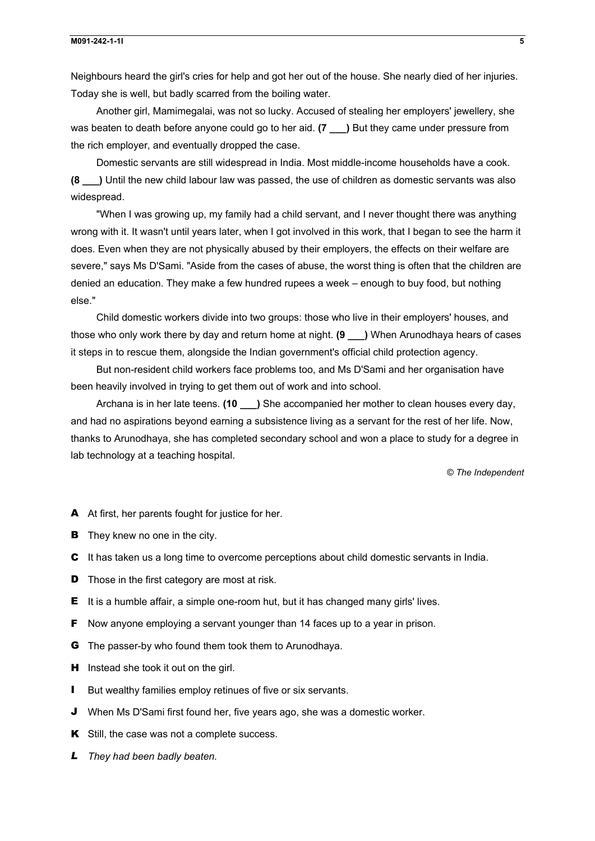Neighbours heard the girl's cries for help and got her out of the house. She nearly died of her injuries. Today she is well, but badly scarred from the boiling water.

Another girl, Mamimegalai, was not so lucky. Accused of stealing her employers' jewellery, she was beaten to death before anyone could go to her aid. **(7** ) But they came under pressure from the rich employer, and eventually dropped the case.

Domestic servants are still widespread in India. Most middle-income households have a cook. **(8 \_\_\_)** Until the new child labour law was passed, the use of children as domestic servants was also widespread.

"When I was growing up, my family had a child servant, and I never thought there was anything wrong with it. It wasn't until years later, when I got involved in this work, that I began to see the harm it does. Even when they are not physically abused by their employers, the effects on their welfare are severe," says Ms D'Sami. "Aside from the cases of abuse, the worst thing is often that the children are denied an education. They make a few hundred rupees a week – enough to buy food, but nothing else."

Child domestic workers divide into two groups: those who live in their employers' houses, and those who only work there by day and return home at night. **(9 \_\_\_)** When Arunodhaya hears of cases it steps in to rescue them, alongside the Indian government's official child protection agency.

But non-resident child workers face problems too, and Ms D'Sami and her organisation have been heavily involved in trying to get them out of work and into school.

Archana is in her late teens. **(10 \_\_\_)** She accompanied her mother to clean houses every day, and had no aspirations beyond earning a subsistence living as a servant for the rest of her life. Now, thanks to Arunodhaya, she has completed secondary school and won a place to study for a degree in lab technology at a teaching hospital.

*© The Independent* 

- A At first, her parents fought for justice for her.
- **B** They knew no one in the city.
- C It has taken us a long time to overcome perceptions about child domestic servants in India.
- **D** Those in the first category are most at risk.
- E It is a humble affair, a simple one-room hut, but it has changed many girls' lives.
- **F** Now anyone employing a servant younger than 14 faces up to a year in prison.
- **G** The passer-by who found them took them to Arunodhaya.
- **H** Instead she took it out on the girl.
- I But wealthy families employ retinues of five or six servants.
- J When Ms D'Sami first found her, five years ago, she was a domestic worker.
- K Still, the case was not a complete success.
- *L They had been badly beaten.*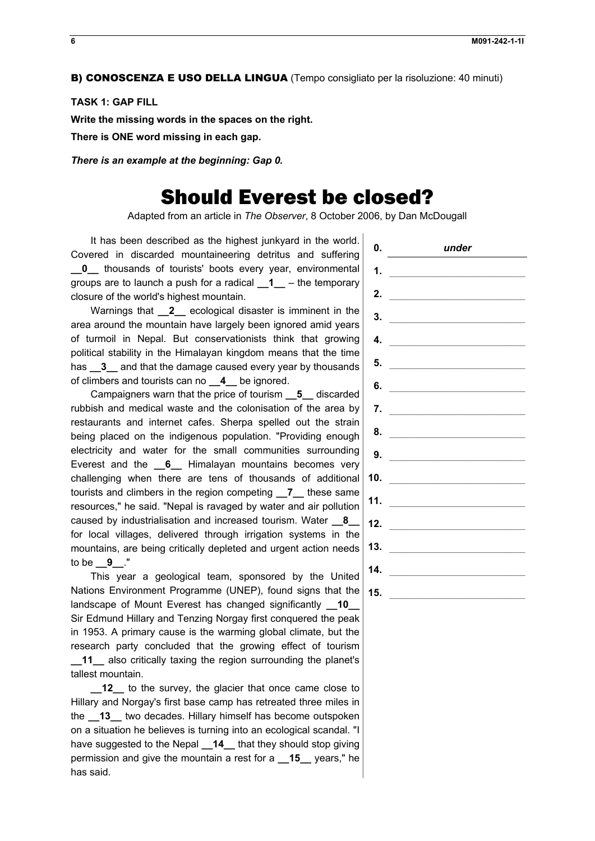B) CONOSCENZA E USO DELLA LINGUA (Tempo consigliato per la risoluzione: 40 minuti)

**TASK 1: GAP FILL Write the missing words in the spaces on the right. There is ONE word missing in each gap.** 

*There is an example at the beginning: Gap 0.* 

# Should Everest be closed?

Adapted from an article in *The Observer*, 8 October 2006, by Dan McDougall

It has been described as the highest junkyard in the world. Covered in discarded mountaineering detritus and suffering **\_\_0\_\_** thousands of tourists' boots every year, environmental groups are to launch a push for a radical **\_\_1\_\_** – the temporary closure of the world's highest mountain.

Warnings that **2** ecological disaster is imminent in the area around the mountain have largely been ignored amid years of turmoil in Nepal. But conservationists think that growing political stability in the Himalayan kingdom means that the time has **3** and that the damage caused every year by thousands of climbers and tourists can no **4** be ignored.

Campaigners warn that the price of tourism **\_\_5\_\_** discarded rubbish and medical waste and the colonisation of the area by restaurants and internet cafes. Sherpa spelled out the strain being placed on the indigenous population. "Providing enough electricity and water for the small communities surrounding Everest and the **\_\_6\_\_** Himalayan mountains becomes very challenging when there are tens of thousands of additional tourists and climbers in the region competing **\_\_7\_\_** these same resources," he said. "Nepal is ravaged by water and air pollution caused by industrialisation and increased tourism. Water **\_\_8\_\_** for local villages, delivered through irrigation systems in the mountains, are being critically depleted and urgent action needs to be **\_\_9\_\_**."

This year a geological team, sponsored by the United Nations Environment Programme (UNEP), found signs that the landscape of Mount Everest has changed significantly **\_\_10\_\_** Sir Edmund Hillary and Tenzing Norgay first conquered the peak in 1953. A primary cause is the warming global climate, but the research party concluded that the growing effect of tourism 11 also critically taxing the region surrounding the planet's tallest mountain.

**\_\_12\_\_** to the survey, the glacier that once came close to Hillary and Norgay's first base camp has retreated three miles in the **\_\_13\_\_** two decades. Hillary himself has become outspoken on a situation he believes is turning into an ecological scandal. "I have suggested to the Nepal **\_\_14\_\_** that they should stop giving permission and give the mountain a rest for a **\_\_15\_\_** years," he has said.

| 0.  | under                                                                                                                |
|-----|----------------------------------------------------------------------------------------------------------------------|
| 1.  |                                                                                                                      |
| 2.  | <u> Alexandria de la contrada de la contrada de la contrada de la contrada de la contrada de la contrada de la c</u> |
| 3.  | <u> 1990 - Johann Barn, mars ann an t-</u>                                                                           |
| 4.  | the control of the control of the control of                                                                         |
| 5.  |                                                                                                                      |
| 6.  | <u> 1990 - Johann Barbara, martin a</u>                                                                              |
| 7.  | <u> 1989 - Johann Barn, mars ann an t-</u>                                                                           |
| 8.  |                                                                                                                      |
| 9.  | the company of the company of the company                                                                            |
| 10. |                                                                                                                      |
|     |                                                                                                                      |
| 12. |                                                                                                                      |
|     | 13. $\qquad$                                                                                                         |
| 14. |                                                                                                                      |
| 15. |                                                                                                                      |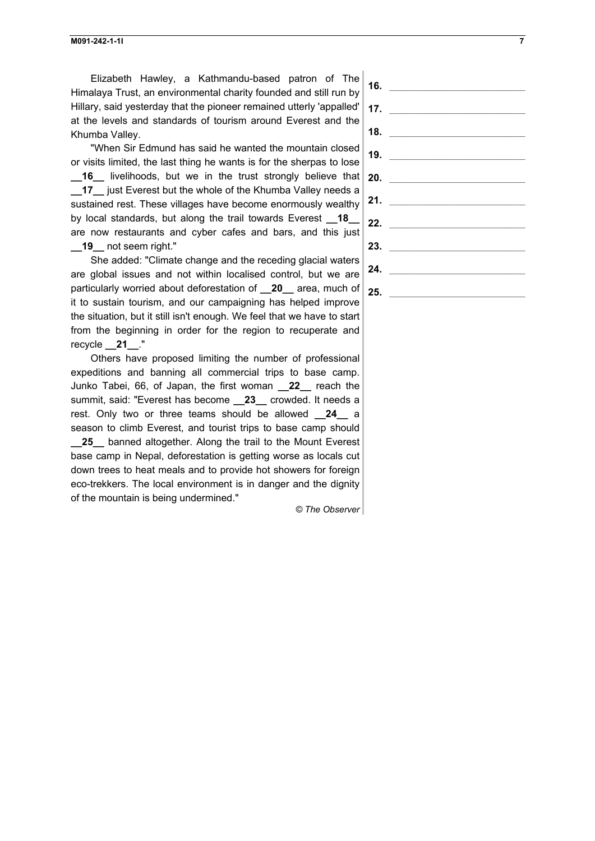Elizabeth Hawley, a Kathmandu-based patron of The Himalaya Trust, an environmental charity founded and still run by Hillary, said yesterday that the pioneer remained utterly 'appalled' at the levels and standards of tourism around Everest and the Khumba Valley.

"When Sir Edmund has said he wanted the mountain closed or visits limited, the last thing he wants is for the sherpas to lose **\_\_16\_\_** livelihoods, but we in the trust strongly believe that **20. \_\_17\_\_** just Everest but the whole of the Khumba Valley needs a sustained rest. These villages have become enormously wealthy by local standards, but along the trail towards Everest **\_\_18\_\_** are now restaurants and cyber cafes and bars, and this just **\_\_19\_\_** not seem right."

She added: "Climate change and the receding glacial waters are global issues and not within localised control, but we are particularly worried about deforestation of **\_\_20\_\_** area, much of it to sustain tourism, and our campaigning has helped improve the situation, but it still isn't enough. We feel that we have to start from the beginning in order for the region to recuperate and recycle **\_\_21\_\_**."

Others have proposed limiting the number of professional expeditions and banning all commercial trips to base camp. Junko Tabei, 66, of Japan, the first woman **\_\_22\_\_** reach the summit, said: "Everest has become **23** crowded. It needs a rest. Only two or three teams should be allowed **\_\_24\_\_** a season to climb Everest, and tourist trips to base camp should **\_\_25\_\_** banned altogether. Along the trail to the Mount Everest base camp in Nepal, deforestation is getting worse as locals cut down trees to heat meals and to provide hot showers for foreign eco-trekkers. The local environment is in danger and the dignity of the mountain is being undermined."

*© The Observer* 

| 16. $\qquad \qquad$ |  |
|---------------------|--|
| 17. $\qquad \qquad$ |  |
| 18. $\qquad \qquad$ |  |
| 19.                 |  |
| 20. $\qquad \qquad$ |  |
| 21.                 |  |
| 22. $\qquad \qquad$ |  |
| 23. $\qquad \qquad$ |  |
| 24.                 |  |
| 25. $\qquad \qquad$ |  |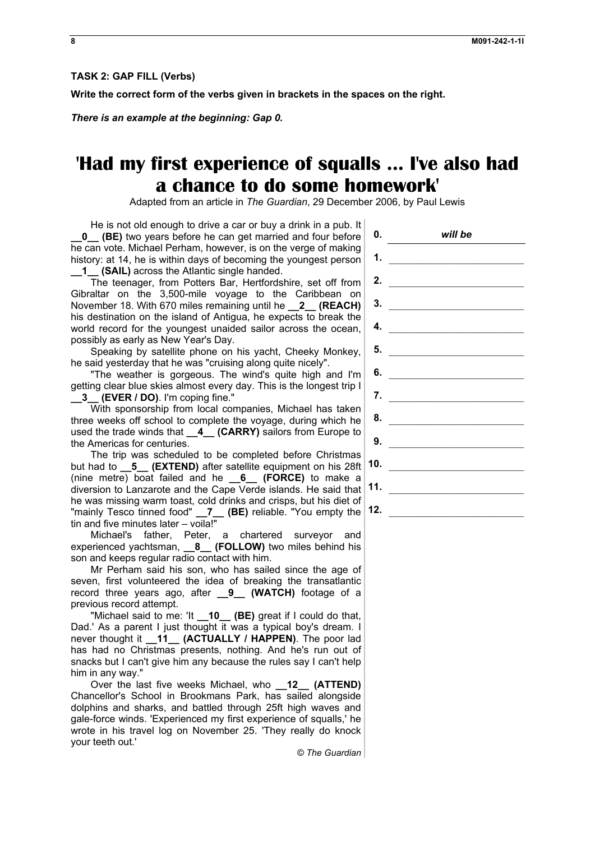**TASK 2: GAP FILL (Verbs)** 

**Write the correct form of the verbs given in brackets in the spaces on the right.** 

*There is an example at the beginning: Gap 0.* 

# **'Had my first experience of squalls ... I've also had a chance to do some homework'**

Adapted from an article in *The Guardian*, 29 December 2006, by Paul Lewis

He is not old enough to drive a car or buy a drink in a pub. It **\_\_0\_\_ (BE)** two years before he can get married and four before he can vote. Michael Perham, however, is on the verge of making history: at 14, he is within days of becoming the youngest person **1** (SAIL) across the Atlantic single handed.

The teenager, from Potters Bar, Hertfordshire, set off from Gibraltar on the 3,500-mile voyage to the Caribbean on November 18. With 670 miles remaining until he **\_\_2\_\_ (REACH)** his destination on the island of Antigua, he expects to break the world record for the youngest unaided sailor across the ocean, possibly as early as New Year's Day.

Speaking by satellite phone on his yacht, Cheeky Monkey, he said yesterday that he was "cruising along quite nicely".

"The weather is gorgeous. The wind's quite high and I'm getting clear blue skies almost every day. This is the longest trip I **\_\_3\_\_ (EVER / DO)**. I'm coping fine."

With sponsorship from local companies, Michael has taken three weeks off school to complete the voyage, during which he used the trade winds that **\_\_4\_\_ (CARRY)** sailors from Europe to the Americas for centuries.

The trip was scheduled to be completed before Christmas but had to **\_\_5\_\_ (EXTEND)** after satellite equipment on his 28ft (nine metre) boat failed and he **\_\_6\_\_ (FORCE)** to make a diversion to Lanzarote and the Cape Verde islands. He said that he was missing warm toast, cold drinks and crisps, but his diet of "mainly Tesco tinned food" **\_\_7\_\_ (BE)** reliable. "You empty the tin and five minutes later – voila!"

Michael's father, Peter, a chartered surveyor and experienced yachtsman, **\_\_8\_\_ (FOLLOW)** two miles behind his son and keeps regular radio contact with him.

Mr Perham said his son, who has sailed since the age of seven, first volunteered the idea of breaking the transatlantic record three years ago, after **\_\_9\_\_ (WATCH)** footage of a previous record attempt.

"Michael said to me: 'It **\_\_10\_\_ (BE)** great if I could do that, Dad.' As a parent I just thought it was a typical boy's dream. I never thought it **\_\_11\_\_ (ACTUALLY / HAPPEN)**. The poor lad has had no Christmas presents, nothing. And he's run out of snacks but I can't give him any because the rules say I can't help him in any way."

Over the last five weeks Michael, who **\_\_12\_\_ (ATTEND)** Chancellor's School in Brookmans Park, has sailed alongside dolphins and sharks, and battled through 25ft high waves and gale-force winds. 'Experienced my first experience of squalls,' he wrote in his travel log on November 25. 'They really do knock your teeth out.'

*© The Guardian*

| 0.  | will be                                                                                                              |
|-----|----------------------------------------------------------------------------------------------------------------------|
| 1.  |                                                                                                                      |
| 2.  |                                                                                                                      |
| 3.  | <u> 1989 - Johann Barbara, martin amerikan ba</u>                                                                    |
| 4.  | <u> Alexandria de la contenta de la contenta de la contenta de la contenta de la contenta de la contenta de la c</u> |
|     |                                                                                                                      |
| 6.  |                                                                                                                      |
|     | 7. $\qquad \qquad$                                                                                                   |
| 8.  |                                                                                                                      |
| 9.  |                                                                                                                      |
|     | 10. $\qquad \qquad$                                                                                                  |
|     |                                                                                                                      |
| 12. |                                                                                                                      |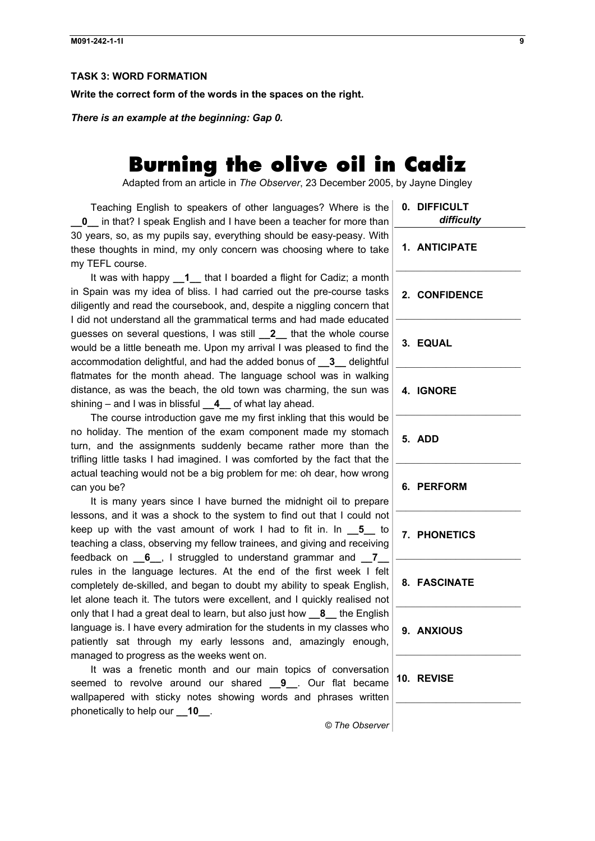**TASK 3: WORD FORMATION** 

**Write the correct form of the words in the spaces on the right.** 

*There is an example at the beginning: Gap 0.* 

# **Burning the olive oil in Cadiz**

Adapted from an article in *The Observer*, 23 December 2005, by Jayne Dingley

Teaching English to speakers of other languages? Where is the **\_\_0\_\_** in that? I speak English and I have been a teacher for more than 30 years, so, as my pupils say, everything should be easy-peasy. With these thoughts in mind, my only concern was choosing where to take my TEFL course.

It was with happy **\_\_1\_\_** that I boarded a flight for Cadiz; a month in Spain was my idea of bliss. I had carried out the pre-course tasks diligently and read the coursebook, and, despite a niggling concern that I did not understand all the grammatical terms and had made educated guesses on several questions, I was still **\_\_2\_\_** that the whole course would be a little beneath me. Upon my arrival I was pleased to find the accommodation delightful, and had the added bonus of **\_\_3\_\_** delightful flatmates for the month ahead. The language school was in walking distance, as was the beach, the old town was charming, the sun was shining – and I was in blissful **\_\_4\_\_** of what lay ahead.

The course introduction gave me my first inkling that this would be no holiday. The mention of the exam component made my stomach turn, and the assignments suddenly became rather more than the trifling little tasks I had imagined. I was comforted by the fact that the actual teaching would not be a big problem for me: oh dear, how wrong can you be?

It is many years since I have burned the midnight oil to prepare lessons, and it was a shock to the system to find out that I could not keep up with the vast amount of work I had to fit in. In **\_\_5\_\_** to teaching a class, observing my fellow trainees, and giving and receiving feedback on **\_\_6\_\_**, I struggled to understand grammar and **\_\_7\_\_** rules in the language lectures. At the end of the first week I felt completely de-skilled, and began to doubt my ability to speak English, let alone teach it. The tutors were excellent, and I quickly realised not only that I had a great deal to learn, but also just how **\_\_8\_\_** the English language is. I have every admiration for the students in my classes who patiently sat through my early lessons and, amazingly enough, managed to progress as the weeks went on.

It was a frenetic month and our main topics of conversation seemed to revolve around our shared **\_\_9\_\_**. Our flat became wallpapered with sticky notes showing words and phrases written phonetically to help our **\_\_10\_\_**.

*© The Observer*

 **0. DIFFICULT** 

 **1. ANTICIPATE** 

 **2. CONFIDENCE** 

 **3. EQUAL** 

 **4. IGNORE** 

 **5. ADD** 

 **6. PERFORM** 

 **7. PHONETICS** 

 **8. FASCINATE** 

 **9. ANXIOUS** 

 **10. REVISE** 

*difficulty* 

 $\mathcal{L}=\mathcal{L}=\mathcal{L}=\mathcal{L}=\mathcal{L}=\mathcal{L}=\mathcal{L}=\mathcal{L}=\mathcal{L}=\mathcal{L}=\mathcal{L}=\mathcal{L}=\mathcal{L}=\mathcal{L}=\mathcal{L}=\mathcal{L}=\mathcal{L}=\mathcal{L}=\mathcal{L}=\mathcal{L}=\mathcal{L}=\mathcal{L}=\mathcal{L}=\mathcal{L}=\mathcal{L}=\mathcal{L}=\mathcal{L}=\mathcal{L}=\mathcal{L}=\mathcal{L}=\mathcal{L}=\mathcal{L}=\mathcal{L}=\mathcal{L}=\mathcal{L}=\mathcal{L}=\mathcal{$ 

 $\mathcal{L}=\mathcal{L}=\mathcal{L}=\mathcal{L}=\mathcal{L}=\mathcal{L}=\mathcal{L}=\mathcal{L}=\mathcal{L}=\mathcal{L}=\mathcal{L}=\mathcal{L}=\mathcal{L}=\mathcal{L}=\mathcal{L}=\mathcal{L}=\mathcal{L}=\mathcal{L}=\mathcal{L}=\mathcal{L}=\mathcal{L}=\mathcal{L}=\mathcal{L}=\mathcal{L}=\mathcal{L}=\mathcal{L}=\mathcal{L}=\mathcal{L}=\mathcal{L}=\mathcal{L}=\mathcal{L}=\mathcal{L}=\mathcal{L}=\mathcal{L}=\mathcal{L}=\mathcal{L}=\mathcal{$ 

 $\mathcal{L}=\mathcal{L}=\mathcal{L}=\mathcal{L}=\mathcal{L}=\mathcal{L}=\mathcal{L}=\mathcal{L}=\mathcal{L}=\mathcal{L}=\mathcal{L}=\mathcal{L}=\mathcal{L}=\mathcal{L}=\mathcal{L}=\mathcal{L}=\mathcal{L}=\mathcal{L}=\mathcal{L}=\mathcal{L}=\mathcal{L}=\mathcal{L}=\mathcal{L}=\mathcal{L}=\mathcal{L}=\mathcal{L}=\mathcal{L}=\mathcal{L}=\mathcal{L}=\mathcal{L}=\mathcal{L}=\mathcal{L}=\mathcal{L}=\mathcal{L}=\mathcal{L}=\mathcal{L}=\mathcal{$ 

 $\mathcal{L}=\mathcal{L}=\mathcal{L}=\mathcal{L}=\mathcal{L}=\mathcal{L}=\mathcal{L}=\mathcal{L}=\mathcal{L}=\mathcal{L}=\mathcal{L}=\mathcal{L}=\mathcal{L}=\mathcal{L}=\mathcal{L}=\mathcal{L}=\mathcal{L}=\mathcal{L}=\mathcal{L}=\mathcal{L}=\mathcal{L}=\mathcal{L}=\mathcal{L}=\mathcal{L}=\mathcal{L}=\mathcal{L}=\mathcal{L}=\mathcal{L}=\mathcal{L}=\mathcal{L}=\mathcal{L}=\mathcal{L}=\mathcal{L}=\mathcal{L}=\mathcal{L}=\mathcal{L}=\mathcal{$ 

 $\mathcal{L}=\mathcal{L}=\mathcal{L}=\mathcal{L}=\mathcal{L}=\mathcal{L}=\mathcal{L}=\mathcal{L}=\mathcal{L}=\mathcal{L}=\mathcal{L}=\mathcal{L}=\mathcal{L}=\mathcal{L}=\mathcal{L}=\mathcal{L}=\mathcal{L}=\mathcal{L}=\mathcal{L}=\mathcal{L}=\mathcal{L}=\mathcal{L}=\mathcal{L}=\mathcal{L}=\mathcal{L}=\mathcal{L}=\mathcal{L}=\mathcal{L}=\mathcal{L}=\mathcal{L}=\mathcal{L}=\mathcal{L}=\mathcal{L}=\mathcal{L}=\mathcal{L}=\mathcal{L}=\mathcal{$ 

 $\mathcal{L}=\mathcal{L}=\mathcal{L}=\mathcal{L}=\mathcal{L}=\mathcal{L}=\mathcal{L}=\mathcal{L}=\mathcal{L}=\mathcal{L}=\mathcal{L}=\mathcal{L}=\mathcal{L}=\mathcal{L}=\mathcal{L}=\mathcal{L}=\mathcal{L}=\mathcal{L}=\mathcal{L}=\mathcal{L}=\mathcal{L}=\mathcal{L}=\mathcal{L}=\mathcal{L}=\mathcal{L}=\mathcal{L}=\mathcal{L}=\mathcal{L}=\mathcal{L}=\mathcal{L}=\mathcal{L}=\mathcal{L}=\mathcal{L}=\mathcal{L}=\mathcal{L}=\mathcal{L}=\mathcal{$ 

 $\mathcal{L}=\mathcal{L}=\mathcal{L}=\mathcal{L}=\mathcal{L}=\mathcal{L}=\mathcal{L}=\mathcal{L}=\mathcal{L}=\mathcal{L}=\mathcal{L}=\mathcal{L}=\mathcal{L}=\mathcal{L}=\mathcal{L}=\mathcal{L}=\mathcal{L}=\mathcal{L}=\mathcal{L}=\mathcal{L}=\mathcal{L}=\mathcal{L}=\mathcal{L}=\mathcal{L}=\mathcal{L}=\mathcal{L}=\mathcal{L}=\mathcal{L}=\mathcal{L}=\mathcal{L}=\mathcal{L}=\mathcal{L}=\mathcal{L}=\mathcal{L}=\mathcal{L}=\mathcal{L}=\mathcal{$ 

 $\mathcal{L}=\mathcal{L}=\mathcal{L}=\mathcal{L}=\mathcal{L}=\mathcal{L}=\mathcal{L}=\mathcal{L}=\mathcal{L}=\mathcal{L}=\mathcal{L}=\mathcal{L}=\mathcal{L}=\mathcal{L}=\mathcal{L}=\mathcal{L}=\mathcal{L}=\mathcal{L}=\mathcal{L}=\mathcal{L}=\mathcal{L}=\mathcal{L}=\mathcal{L}=\mathcal{L}=\mathcal{L}=\mathcal{L}=\mathcal{L}=\mathcal{L}=\mathcal{L}=\mathcal{L}=\mathcal{L}=\mathcal{L}=\mathcal{L}=\mathcal{L}=\mathcal{L}=\mathcal{L}=\mathcal{$ 

 $\mathcal{L}_\text{max}$ 

 $\mathcal{L}_\text{max}$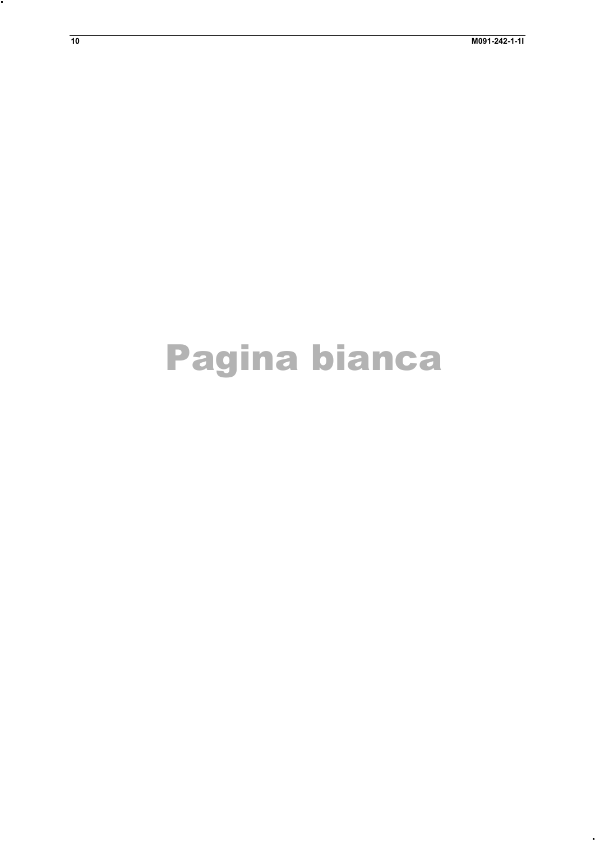# Pagina bianca

٠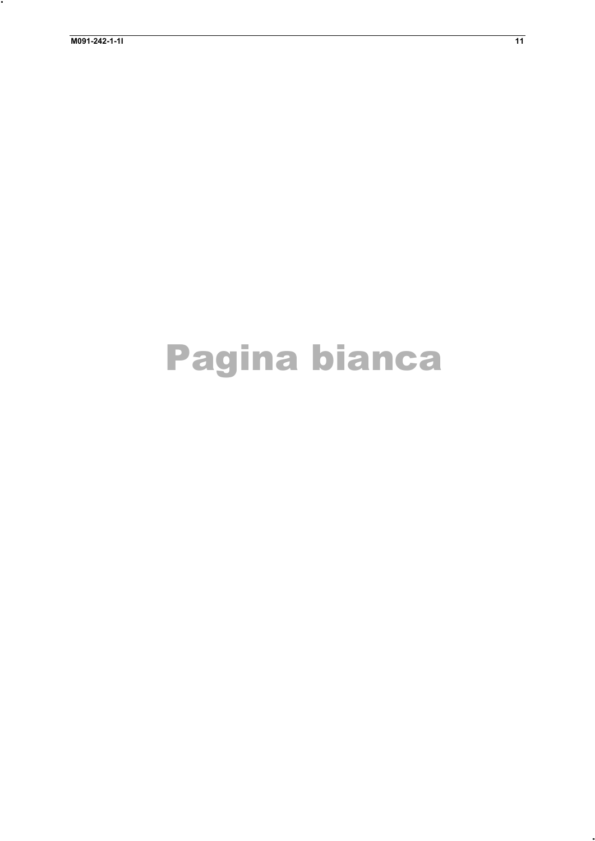۰

# Pagina bianca